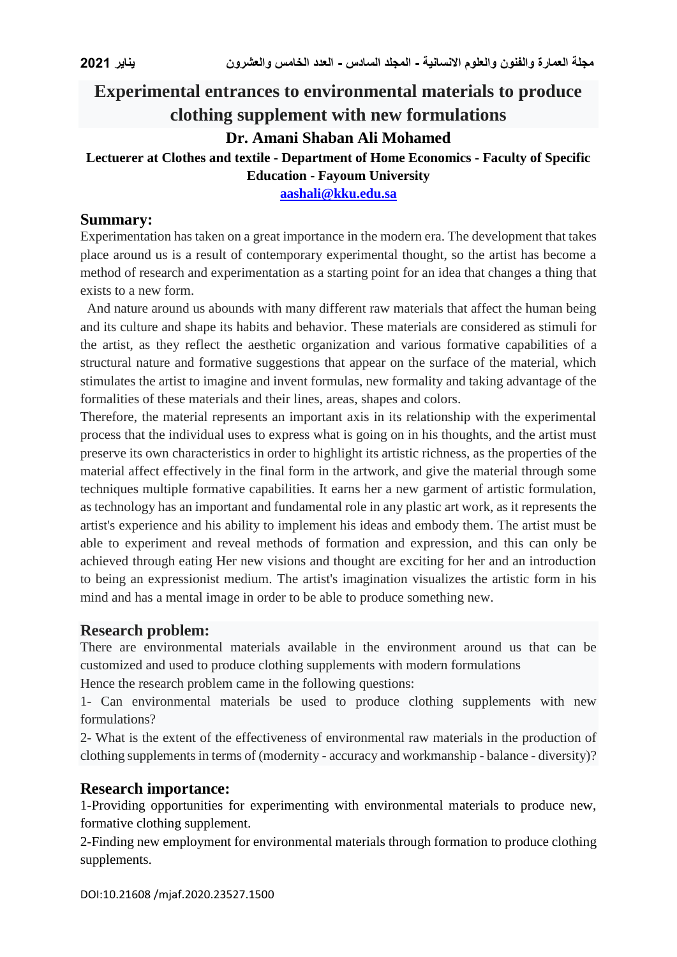# **Experimental entrances to environmental materials to produce clothing supplement with new formulations**

# **Dr. Amani Shaban Ali Mohamed**

### **Lectuerer at Clothes and textile - Department of Home Economics - Faculty of Specific Education - Fayoum University**

**[aashali@kku.edu.sa](mailto:aashali@kku.edu.sa)**

#### **Summary:**

Experimentation has taken on a great importance in the modern era. The development that takes place around us is a result of contemporary experimental thought, so the artist has become a method of research and experimentation as a starting point for an idea that changes a thing that exists to a new form.

 And nature around us abounds with many different raw materials that affect the human being and its culture and shape its habits and behavior. These materials are considered as stimuli for the artist, as they reflect the aesthetic organization and various formative capabilities of a structural nature and formative suggestions that appear on the surface of the material, which stimulates the artist to imagine and invent formulas, new formality and taking advantage of the formalities of these materials and their lines, areas, shapes and colors.

Therefore, the material represents an important axis in its relationship with the experimental process that the individual uses to express what is going on in his thoughts, and the artist must preserve its own characteristics in order to highlight its artistic richness, as the properties of the material affect effectively in the final form in the artwork, and give the material through some techniques multiple formative capabilities. It earns her a new garment of artistic formulation, as technology has an important and fundamental role in any plastic art work, as it represents the artist's experience and his ability to implement his ideas and embody them. The artist must be able to experiment and reveal methods of formation and expression, and this can only be achieved through eating Her new visions and thought are exciting for her and an introduction to being an expressionist medium. The artist's imagination visualizes the artistic form in his mind and has a mental image in order to be able to produce something new.

#### **Research problem:**

There are environmental materials available in the environment around us that can be customized and used to produce clothing supplements with modern formulations

Hence the research problem came in the following questions:

1- Can environmental materials be used to produce clothing supplements with new formulations?

2- What is the extent of the effectiveness of environmental raw materials in the production of clothing supplements in terms of (modernity - accuracy and workmanship - balance - diversity)?

# **Research importance:**

1-Providing opportunities for experimenting with environmental materials to produce new, formative clothing supplement.

2-Finding new employment for environmental materials through formation to produce clothing supplements.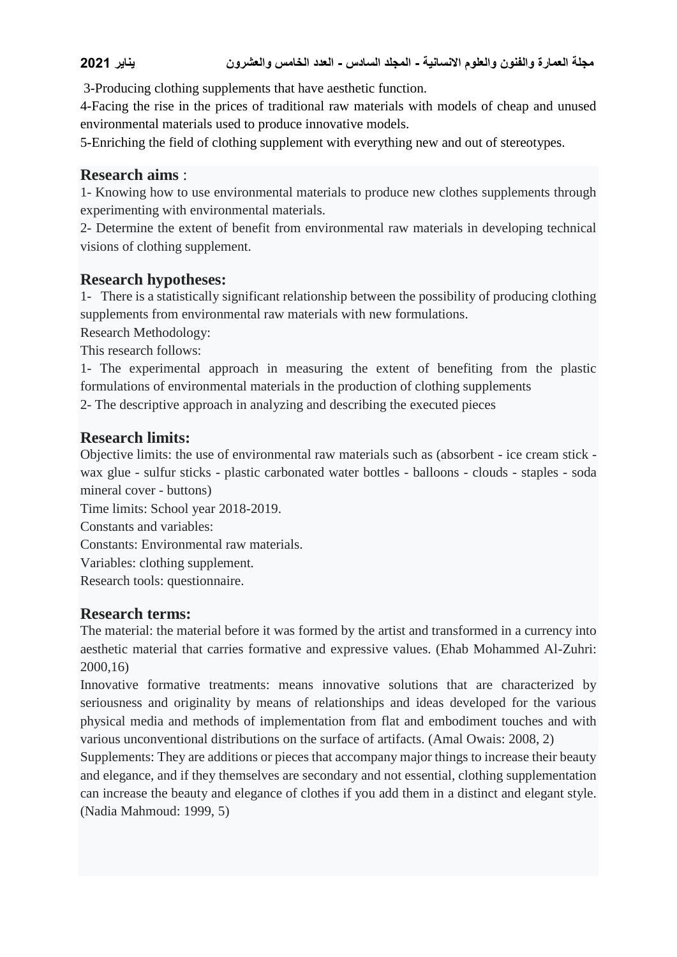# **مجلة العمارة والفنون والعلوم االنسانية - المجلد السادس - العدد الخامس والعشرون يناير 2021**

3-Producing clothing supplements that have aesthetic function.

4-Facing the rise in the prices of traditional raw materials with models of cheap and unused environmental materials used to produce innovative models.

5-Enriching the field of clothing supplement with everything new and out of stereotypes.

#### **Research aims** :

1- Knowing how to use environmental materials to produce new clothes supplements through experimenting with environmental materials.

2- Determine the extent of benefit from environmental raw materials in developing technical visions of clothing supplement.

#### **Research hypotheses:**

1- There is a statistically significant relationship between the possibility of producing clothing supplements from environmental raw materials with new formulations.

Research Methodology: This research follows:

1- The experimental approach in measuring the extent of benefiting from the plastic formulations of environmental materials in the production of clothing supplements

2- The descriptive approach in analyzing and describing the executed pieces

# **Research limits:**

Objective limits: the use of environmental raw materials such as (absorbent - ice cream stick wax glue - sulfur sticks - plastic carbonated water bottles - balloons - clouds - staples - soda mineral cover - buttons)

Time limits: School year 2018-2019.

Constants and variables:

Constants: Environmental raw materials.

Variables: clothing supplement.

Research tools: questionnaire.

#### **Research terms:**

The material: the material before it was formed by the artist and transformed in a currency into aesthetic material that carries formative and expressive values. (Ehab Mohammed Al-Zuhri: 2000,16)

Innovative formative treatments: means innovative solutions that are characterized by seriousness and originality by means of relationships and ideas developed for the various physical media and methods of implementation from flat and embodiment touches and with various unconventional distributions on the surface of artifacts. (Amal Owais: 2008, 2)

Supplements: They are additions or pieces that accompany major things to increase their beauty and elegance, and if they themselves are secondary and not essential, clothing supplementation can increase the beauty and elegance of clothes if you add them in a distinct and elegant style. (Nadia Mahmoud: 1999, 5)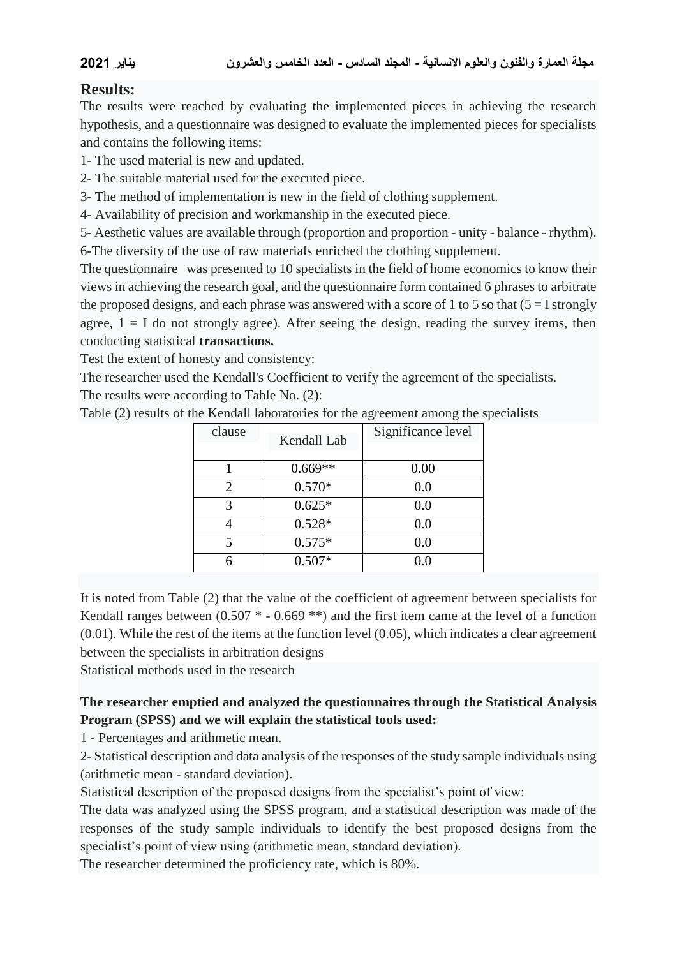# **Results:**

The results were reached by evaluating the implemented pieces in achieving the research hypothesis, and a questionnaire was designed to evaluate the implemented pieces for specialists and contains the following items:

- 1- The used material is new and updated.
- 2- The suitable material used for the executed piece.
- 3- The method of implementation is new in the field of clothing supplement.
- 4- Availability of precision and workmanship in the executed piece.

5- Aesthetic values are available through (proportion and proportion - unity - balance - rhythm). 6-The diversity of the use of raw materials enriched the clothing supplement.

The questionnaire was presented to 10 specialists in the field of home economics to know their views in achieving the research goal, and the questionnaire form contained 6 phrases to arbitrate the proposed designs, and each phrase was answered with a score of 1 to 5 so that  $(5 = I \text{ strongly})$ agree,  $1 = I$  do not strongly agree). After seeing the design, reading the survey items, then conducting statistical **transactions.**

Test the extent of honesty and consistency:

The researcher used the Kendall's Coefficient to verify the agreement of the specialists. The results were according to Table No. (2):

| clause | Kendall Lab | Significance level |
|--------|-------------|--------------------|
|        | $0.669**$   | 0.00               |
| 2      | $0.570*$    | 0.0                |
| 3      | $0.625*$    | 0.0                |
|        | $0.528*$    | 0.0                |
| 5      | $0.575*$    | 0.0                |
| 6      | $0.507*$    | 0.0                |

Table (2) results of the Kendall laboratories for the agreement among the specialists

It is noted from Table (2) that the value of the coefficient of agreement between specialists for Kendall ranges between  $(0.507 * - 0.669 **)$  and the first item came at the level of a function  $(0.01)$ . While the rest of the items at the function level  $(0.05)$ , which indicates a clear agreement between the specialists in arbitration designs

Statistical methods used in the research

# **The researcher emptied and analyzed the questionnaires through the Statistical Analysis Program (SPSS) and we will explain the statistical tools used:**

1 - Percentages and arithmetic mean.

2- Statistical description and data analysis of the responses of the study sample individuals using (arithmetic mean - standard deviation).

Statistical description of the proposed designs from the specialist's point of view:

The data was analyzed using the SPSS program, and a statistical description was made of the responses of the study sample individuals to identify the best proposed designs from the specialist's point of view using (arithmetic mean, standard deviation).

The researcher determined the proficiency rate, which is 80%.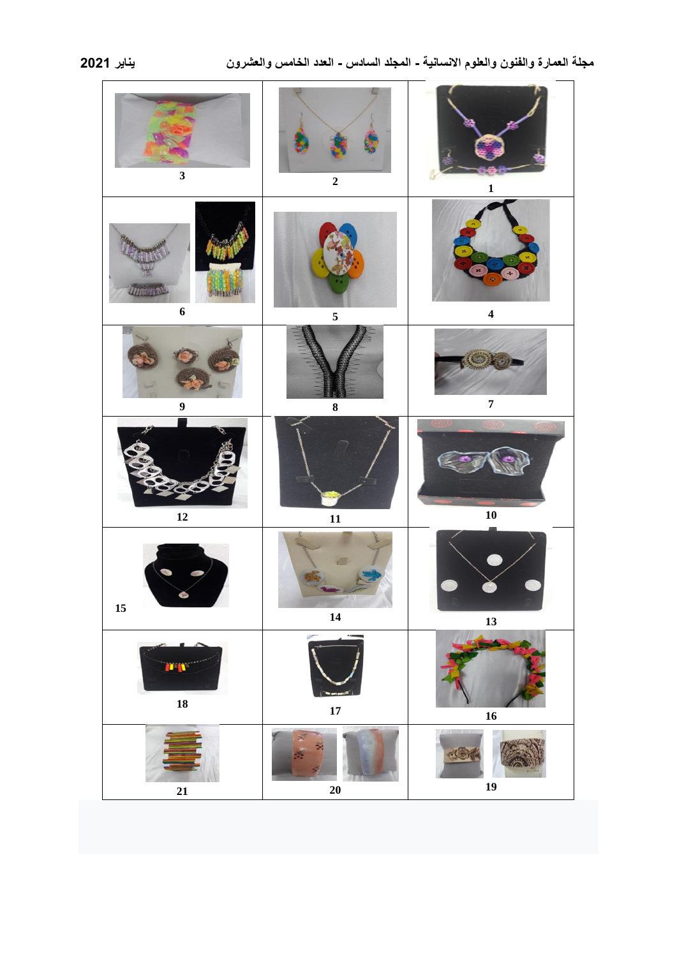| $\overline{\mathbf{3}}$                    | $\mathbf 2$ | $\mathbf{1}$            |
|--------------------------------------------|-------------|-------------------------|
| <i><b>ITHURSON</b></i><br>$\boldsymbol{6}$ | 5           | $\overline{\mathbf{4}}$ |
| $\boldsymbol{9}$                           | 8           | $\overline{\mathbf{7}}$ |
| $\boldsymbol{12}$                          | 11          | ${\bf 10}$              |
| c<br>$15\,$                                | 14          | 13                      |
| n n<br>18                                  | 17          | ${\bf 16}$              |
| 21                                         | $20\,$      | 19                      |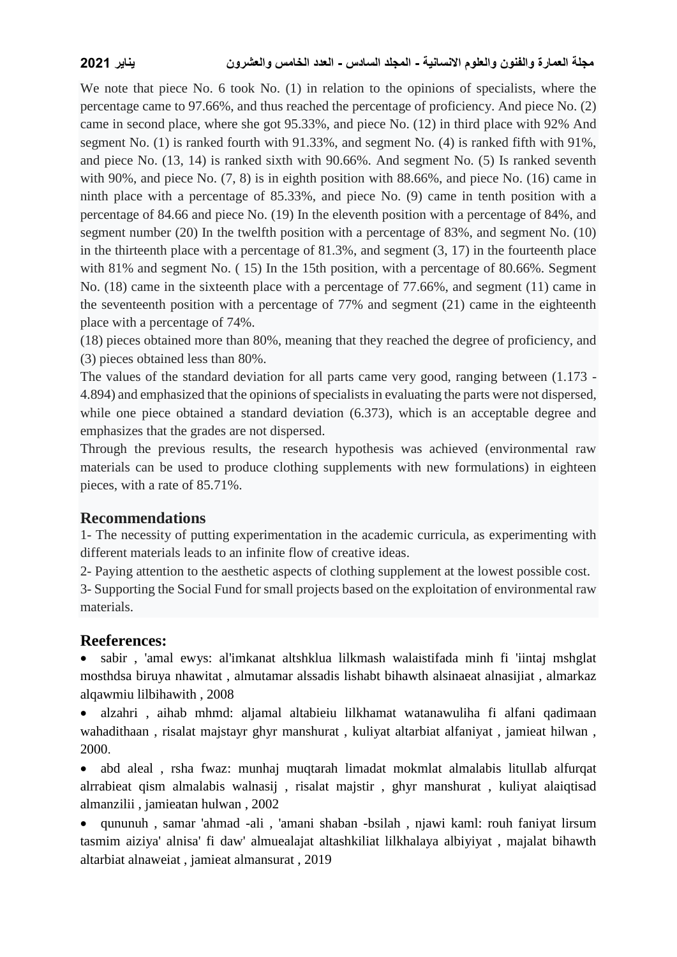We note that piece No. 6 took No. (1) in relation to the opinions of specialists, where the percentage came to 97.66%, and thus reached the percentage of proficiency. And piece No. (2) came in second place, where she got 95.33%, and piece No. (12) in third place with 92% And segment No. (1) is ranked fourth with 91.33%, and segment No. (4) is ranked fifth with 91%, and piece No. (13, 14) is ranked sixth with 90.66%. And segment No. (5) Is ranked seventh with 90%, and piece No.  $(7, 8)$  is in eighth position with 88.66%, and piece No.  $(16)$  came in ninth place with a percentage of 85.33%, and piece No. (9) came in tenth position with a percentage of 84.66 and piece No. (19) In the eleventh position with a percentage of 84%, and segment number (20) In the twelfth position with a percentage of 83%, and segment No. (10) in the thirteenth place with a percentage of 81.3%, and segment (3, 17) in the fourteenth place with 81% and segment No. (15) In the 15th position, with a percentage of 80.66%. Segment No. (18) came in the sixteenth place with a percentage of 77.66%, and segment (11) came in the seventeenth position with a percentage of 77% and segment (21) came in the eighteenth place with a percentage of 74%.

(18) pieces obtained more than 80%, meaning that they reached the degree of proficiency, and (3) pieces obtained less than 80%.

The values of the standard deviation for all parts came very good, ranging between (1.173 - 4.894) and emphasized that the opinions of specialists in evaluating the parts were not dispersed, while one piece obtained a standard deviation (6.373), which is an acceptable degree and emphasizes that the grades are not dispersed.

Through the previous results, the research hypothesis was achieved (environmental raw materials can be used to produce clothing supplements with new formulations) in eighteen pieces, with a rate of 85.71%.

# **Recommendations**

1- The necessity of putting experimentation in the academic curricula, as experimenting with different materials leads to an infinite flow of creative ideas.

2- Paying attention to the aesthetic aspects of clothing supplement at the lowest possible cost.

3- Supporting the Social Fund for small projects based on the exploitation of environmental raw materials.

# **Reeferences:**

 sabir , 'amal ewys: al'imkanat altshklua lilkmash walaistifada minh fi 'iintaj mshglat mosthdsa biruya nhawitat , almutamar alssadis lishabt bihawth alsinaeat alnasijiat , almarkaz alqawmiu lilbihawith , 2008

 alzahri , aihab mhmd: aljamal altabieiu lilkhamat watanawuliha fi alfani qadimaan wahadithaan , risalat majstayr ghyr manshurat , kuliyat altarbiat alfaniyat , jamieat hilwan , 2000.

 abd aleal , rsha fwaz: munhaj muqtarah limadat mokmlat almalabis litullab alfurqat alrrabieat qism almalabis walnasij , risalat majstir , ghyr manshurat , kuliyat alaiqtisad almanzilii , jamieatan hulwan , 2002

 qununuh , samar 'ahmad -ali , 'amani shaban -bsilah , njawi kaml: rouh faniyat lirsum tasmim aiziya' alnisa' fi daw' almuealajat altashkiliat lilkhalaya albiyiyat , majalat bihawth altarbiat alnaweiat , jamieat almansurat , 2019